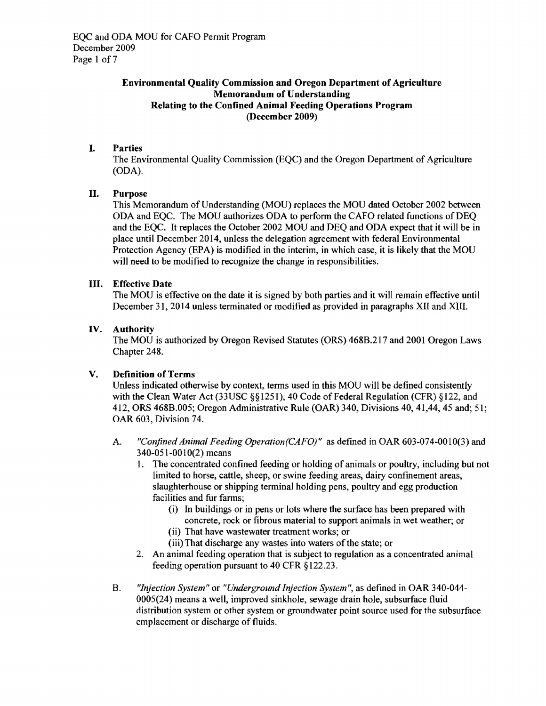### Environmental Quality Commission and Oregon Department of Agriculture Memorandum of Understanding Relating to the Confined Animal Feeding Operations Program (December 2009)

# I. Parties

The Environmental Quality Commission (EQc) and the Oregon Department of Agriculture (ODA).

# II. Purpose

This Memorandum of Understanding (MOU) replaces the MOU dated October 2002 between ODA and EQC. The MOU authorizes ODA to perform the CAFO related functions of DEQ and the EQC. It replaces the October 2002 MOU and DEQ and ODA expect that it will be in place until December 2014, unless the delegation agreement with federal Environmental Protection Agency (EPA) is modified in the interim, in which case, it is likely that the MOU will need to be modified to recognize the change in responsibilities.

### III. Effective Date

The MOU is effective on the date it is signed by both parties and it will remain effective until December 31, 2014 unless terminated or modified as provided in paragraphs XII and XIII.

### IV. Authority

The MOU is authorized by Oregon Revised Statutes (ORS) 468B.217 and 2001 Oregon Laws Chapter 248.

### V. Definition of Terms

Unless indicated otherwise by context, tenns used in this MOU will be defined consistently with the Clean Water Act (33USC §§1251), 40 Code of Federal Regulation (CFR) §122, and 412, ORS 468B.005; Oregon Administrative Rule (OAR) 340, Divisions 40,41,44,45 and; 51; OAR 603, Division 74.

- A. *"Confined Animal Feeding Operation(CAFO)"* as defined in OAR 603-074-0010(3) and 340-051-0010(2) means
	- 1. The concentrated confined feeding or holding of animals or poultry, including but not limited to horse, cattle, sheep, or swine feeding areas, dairy confinement areas, slaughterhouse or shipping terminal holding pens, poultry and egg production facilities and fur farms;
		- (i) In buildings or in pens or lots where the surface has been prepared with concrete, rock or fibrous material to support animals in wet weather; or
		- (ii) That have wastewater treatment works; or
		- (iii) That discharge any wastes into waters of the state; or
	- 2. An animal feeding operation that is subject to regulation as a concentrated animal feeding operation pursuant to 40 CFR §122.23.
- B. *"Injection System"* or "*Underground Injection System",* as defined in OAR 340-044 0005(24) means a well, improved sinkhole, sewage drain hole, subsurface fluid distribution system or other system or groundwater point source used for the subsurface emplacement or discharge of fluids.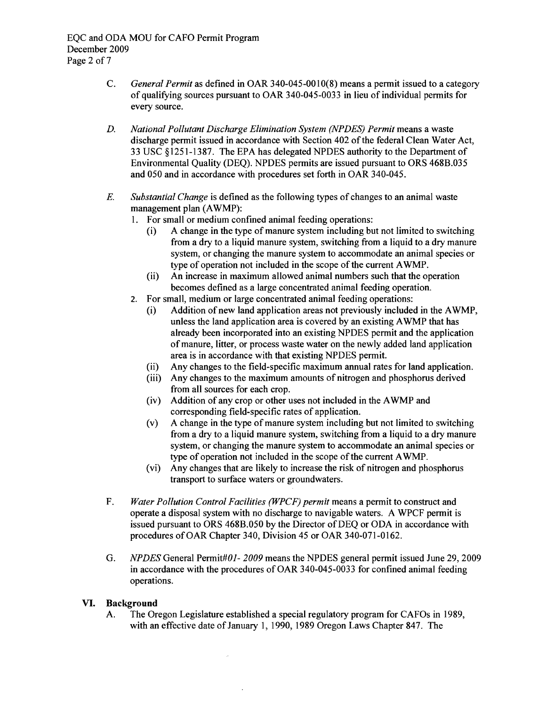- C. *General Permit* as defined in OAR 340-045-0010(8) means a pennit issued to a category of qualifying sources pursuant to OAR 340-045-0033 in lieu of individual pennits for every source.
- *D. National Pollutant Discharge Elimination System (NPDES) Permit* means a waste discharge pennit issued in accordance with Section 402 ofthe federal Clean Water Act, 33 USC §1251-1387. The EPA has delegated NPDES authority to the Department of Environmental Quality (DEQ). NPDES pennits are issued pursuant to ORS 468B.035 and 050 and in accordance with procedures set forth in OAR 340-045.
- *E. Substantial Change* is defined as the following types of changes to an animal waste management plan (AWMP):
	- 1. For small or medium confined animal feeding operations:
		- (i) A change in the type of manure system including but not limited to switching from a dry to a liquid manure system, switching from a liquid to a dry manure system, or changing the manure system to accommodate an animal species or type of operation not included in the scope of the current AWMP.
		- (ii) An increase in maximum allowed animal numbers such that the operation becomes defined as a large concentrated animal feeding operation.
	- 2. For small, medium or large concentrated animal feeding operations:
		- (i) Addition of new land application areas not previously included in the AWMP, unless the land application area is covered by an existing AWMP that has already been incorporated into an existing NPDES permit and the application of manure, litter, or process waste water on the newly added land application area is in accordance with that existing NPDES permit.
		- (ii) Any changes to the field-specific maximum annual rates for land application.
		- (iii) Any changes to the maximum amounts of nitrogen and phosphorus derived from all sources for each crop.
		- (iv) Addition of any crop or other uses not included in the AWMP and corresponding field-specific rates of application.
		- (v) A change in the type of manure system including but not limited to switching from a dry to a liquid manure system, switching from a liquid to a dry manure system, or changing the manure system to accommodate an animal species or type of operation not included in the scope of the current AWMP.
		- (vi) Any changes that are likely to increase the risk of nitrogen and phosphorus transport to surface waters or groundwaters.
- F. *Water Pollution Control Facilities (WPCF) permit* means a permit to construct and operate a disposal system with no discharge to navigable waters. A WPCF pennit is issued pursuant to ORS 468B.050 by the Director of DEQ or ODA in accordance with procedures of OAR Chapter 340, Division 45 or OAR 340-071-0162.
- G. *NPDES* General *Pennit#Ol- 2009* means the NPDES general pennit issued June 29, 2009 in accordance with the procedures of OAR 340-045-0033 for confined animal feeding operations.

# **VI. Background**

A. The Oregon Legislature established a special regulatory program for CAFOs in 1989, with an effective date of January 1, 1990, 1989 Oregon Laws Chapter 847. The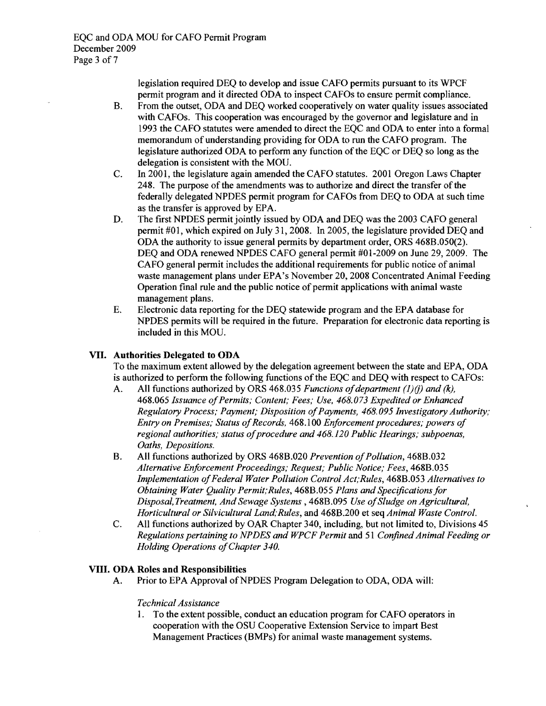legislation required DEQ to develop and issue CAFO pennits pursuant to its WPCF pennit program and it directed ODA to inspect CAFOs to ensure pennit compliance.

- B. From the outset, ODA and DEQ worked cooperatively on water quality issues associated with CAFOs. This cooperation was encouraged by the governor and legislature and in 1993 the CAFO statutes were amended to direct the EQC and ODA to enter into a fonnal memorandum of understanding providing for ODA to run the CAFO program. The legislature authorized ODA to perfonn any function ofthe EQC or DEQ so long as the delegation is consistent with the MOU.
- C. In 2001, the legislature again amended the CAFO statutes. 2001 Oregon Laws Chapter 248. The purpose of the amendments was to authorize and direct the transfer of the federally delegated NPDES pennit program for CAFOs from DEQ to ODA at such time as the transfer is approved by EPA.
- D. The first NPDES permit jointly issued by ODA and DEQ was the 2003 CAFO general pennit #01, which expired on July 31, 2008. In 2005, the legislature provided DEQ and ODA the authority to issue general pennits by department order, ORS 468B.050(2). DEQ and ODA renewed NPDES CAFO general pennit #01-2009 on June 29, 2009. The CAFO general pennit includes the additional requirements for public notice of animal waste management plans under EPA's November 20, 2008 Concentrated Animal Feeding Operation final rule and the public notice of permit applications with animal waste management plans.
- E. Electronic data reporting for the DEQ statewide program and the EPA database for NPDES pennits will be required in the future. Preparation for electronic data reporting is included in this MOU.

### **VII. Authorities Delegated to ODA**

To the maximum extent allowed by the delegation agreement between the state and EPA, ODA is authorized to perform the following functions of the EQC and DEQ with respect to CAFOs:

- A. All functions authorized by ORS 468.035 *Functions of department (1)(j) and (k)*, *468.065 Issuance ofPermits; Content; Fees; Use, 468.073 Expedited or Enhanced Regulatory Process; Payment; Disposition of Payments, 468.095 Investigatory Authority; Entry on Premises; Status of Records, 468.100 Enforcement procedures; powers of regional authorities; status of procedure and 468.120 Public Hearings; subpoenas, Oaths, Depositions.*
- B. All functions authorized by ORS 468B.020 *Prevention ofPollution,* 468B.032 *Alternative Enforcement Proceedings; Request; Public Notice; Fees,* 468B.035 *Implementation ofFederal Water Pollution Control Act;Rules,* 468B.053 *Alternatives to Obtaining Water Quality Permit;Rules,* 468B.055 *Plans and Specificationsfor Disposal, Treatment, And Sewage Systems,* 468B.095 *Use ofSludge on Agricultural, Horticultural or Silvicultural Land;Rules,* and 468B.200 et seq *Animal Waste Control.*
- C. All functions authorized by OAR Chapter 340, including, but not limited to, Divisions 45 *Regulations pertaining to NPDES and WPCF Permit* and 51 *Confined Animal Feeding or Holding Operations ofChapter 340.*

### **VIII. ODA Roles and Responsibilities**

A. Prior to EPA Approval of NPDES Program Delegation to ODA, ODA will:

### *Technical Assistance*

1. To the extent possible, conduct an education program for CAFO operators in cooperation with the OSU Cooperative Extension Service to impart Best Management Practices (BMPs) for animal waste management systems.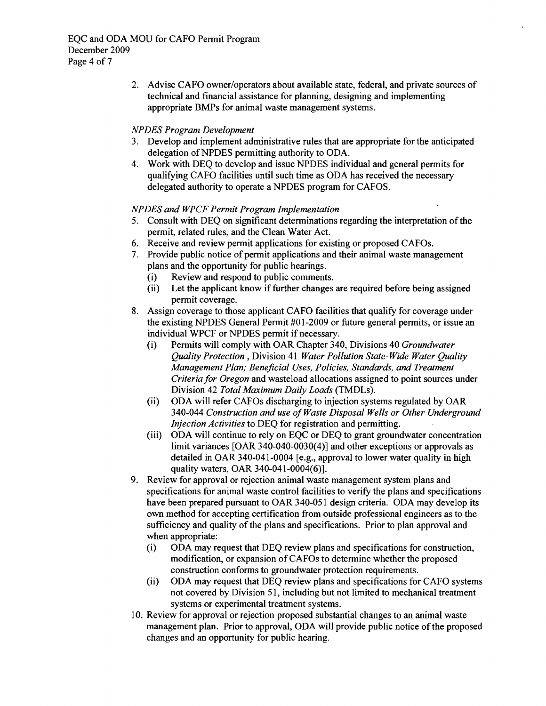2. Advise CAFO owner/operators about available state, federal, and private sources of technical and financial assistance for planning, designing and implementing appropriate BMPs for animal waste management systems.

### *NPDES Program Development*

- 3. Develop and implement administrative rules that are appropriate for the anticipated delegation of NPDES permitting authority to ODA.
- 4. Work with DEQ to develop and issue NPDES individual and general permits for qualifying CAFO facilities until such time as ODA has received the necessary delegated authority to operate a NPDES program for CAFOS.

#### *NPDES and WPCF Permit Program Implementation*

- 5. Consult with DEQ on significant determinations regarding the interpretation of the permit, related rules, and the Clean Water Act.
- 6. Receive and review permit applications for existing or proposed CAFOs.
- 7. Provide public notice of permit applications and their animal waste management plans and the opportunity for public hearings.
	- (i) Review and respond to public comments.
	- (ii) Let the applicant know if further changes are required before being assigned permit coverage.
- 8. Assign coverage to those applicant CAFO facilities that qualify for coverage under the existing NPDES General Permit #01-2009 or future general permits, or issue an individual WPCF or NPDES pennit if necessary.
	- (i) Pennits will comply with OAR Chapter 340, Divisions 40 *Groundwater Quality Protection,* Division 41 *Water Pollution State-Wide Water Quality Management Plan; Beneficial Uses, Policies, Standards, and Treatment Criteria for Oregon* and wasteload allocations assigned to point sources under Division 42 *Total Maximum Daily Loads* (TMDLs).
	- (ii) ODA will refer CAFOs discharging to injection systems regulated by OAR *340-044 Construction and use ofWaste Disposal Wells or Other Underground Injection Activities* to DEQ for registration and permitting.
	- (iii) ODA will continue to rely on EQC or DEQ to grant groundwater concentration limit variances [OAR 340-040-0030(4)] and other exceptions or approvals as detailed in OAR 340-041-0004 [e.g., approval to lower water quality in high quality waters, OAR 340-041-0004(6)].
- 9. Review for approval or rejection animal waste management system plans and specifications for animal waste control facilities to verify the plans and specifications have been prepared pursuant to OAR 340-051 design criteria. ODA may develop its own method for accepting certification from outside professional engineers as to the sufficiency and quality of the plans and specifications. Prior to plan approval and when appropriate:
	- (i) ODA may request that DEQ review plans and specifications for construction, modification, or expansion of CAFOs to determine whether the proposed construction confonns to groundwater protection requirements.
	- (ii) ODA may request that DEQ review plans and specifications for CAFO systems not covered by Division 51, including but not limited to mechanical treatment systems or experimental treatment systems.
- 10. Review for approval or rejection proposed substantial changes to an animal waste management plan. Prior to approval, ODA will provide public notice of the proposed changes and an opportunity for public hearing.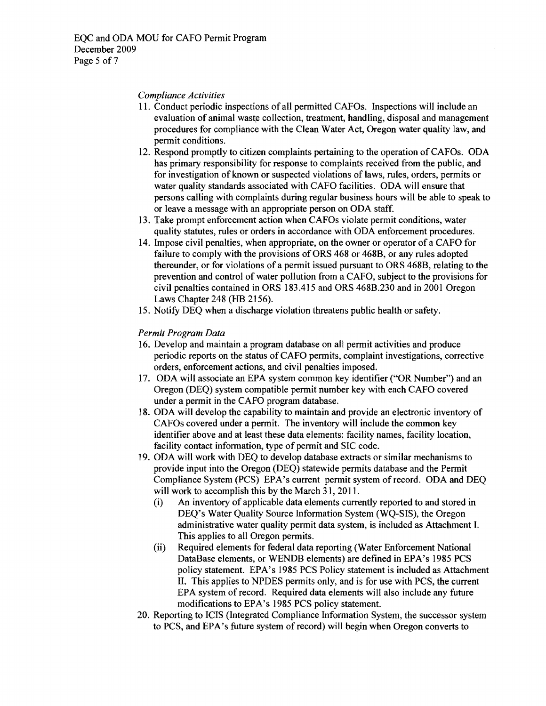#### *Compliance Activities*

- 11. Conduct periodic inspections of all permitted CAFOs. Inspections will include an evaluation of animal waste collection, treatment, handling, disposal and management procedures for compliance with the Clean Water Act, Oregon water quality law, and permit conditions.
- 12. Respond promptly to citizen complaints pertaining to the operation of CAFOs. ODA has primary responsibility for response to complaints received from the public, and for investigation of known or suspected violations of laws, rules, orders, pennits or water quality standards associated with CAFO facilities. ODA will ensure that persons calling with complaints during regular business hours will be able to speak to or leave a message with an appropriate person on ODA staff.
- 13. Take prompt enforcement action when CAFOs violate pennit conditions, water quality statutes, rules or orders in accordance with ODA enforcement procedures.
- 14. Impose civil penalties, when appropriate, on the owner or operator of a CAFO for failure to comply with the provisions of ORS 468 or 468B, or any rules adopted thereunder, or for violations of a pennit issued pursuant to ORS 468B, relating to the prevention and control of water pollution from a CAFO, subject to the provisions for civil penalties contained in ORS 183.415 and ORS 468B.230 and in 2001 Oregon Laws Chapter 248 (HB 2156).
- 15. Notify DEQ when a discharge violation threatens public health or safety.

### *Permit Program Data*

- 16. Develop and maintain a program database on all permit activities and produce periodic reports on the status ofCAFO permits, complaint investigations, corrective orders, enforcement actions, and civil penalties imposed.
- 17. ODA will associate an EPA system common key identifier ("OR Number") and an Oregon (DEQ) system compatible permit number key with each CAFO covered under a pennit in the CAFO program database.
- 18. ODA will develop the capability to maintain and provide an electronic inventory of CAFOs covered under a permit. The inventory will include the common key identifier above and at least these data elements: facility names, facility location, facility contact information, type of permit and SIC code.
- 19. ODA will work with DEQ to develop database extracts or similar mechanisms to provide input into the Oregon (DEQ) statewide permits database and the Permit Compliance System (PCS) EPA's current permit system of record. ODA and DEQ will work to accomplish this by the March 31, 2011.
	- (i) An inventory of applicable data elements currently reported to and stored in DEQ's Water Quality Source Information System (WQ-SIS), the Oregon administrative water quality permit data system, is included as Attachment I. This applies to all Oregon permits.
	- (ii) Required elements for federal data reporting (Water Enforcement National DataBase elements, or WENDB elements) are defined in EPA's 1985 PCS policy statement. EPA's 1985 PCS Policy statement is included as Attachment II. This applies to NPDES permits only, and is for use with PCS, the current EPA system of record. Required data elements will also include any future modifications to EPA's 1985 PCS policy statement.
- 20. Reporting to ICIS (Integrated Compliance Information System, the successor system to PCS, and EPA's future system of record) will begin when Oregon converts to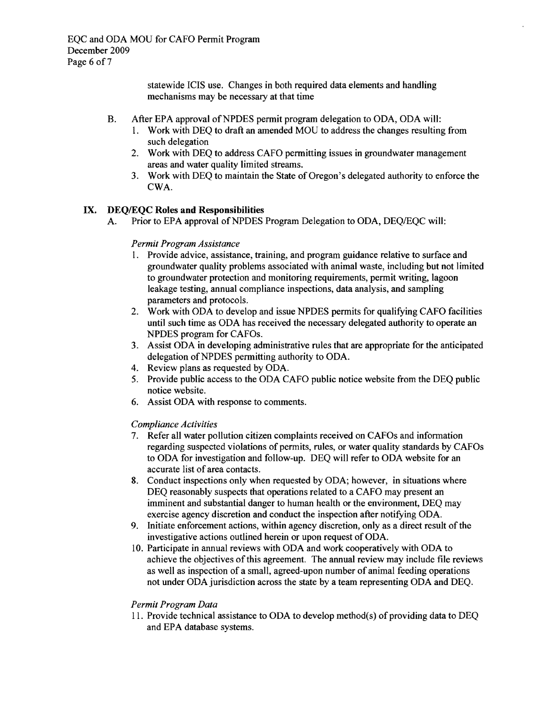statewide ICIS use. Changes in both required data elements and handling mechanisms may be necessary at that time

- B. After EPA approval of NPDES permit program delegation to ODA, ODA will:
	- 1. Work with DEQ to draft an amended MOU to address the changes resulting from such delegation
	- 2. Work with DEQ to address CAFO permitting issues in groundwater management areas and water quality limited streams.
	- 3. Work with DEQ to maintain the State of Oregon's delegated authority to enforce the CWA.

### IX. DEQ/EQC Roles and Responsibilities

A. Prior to EPA approval of NPDES Program Delegation to ODA, DEQ/EQC will:

#### *Permit Program Assistance*

- 1. Provide advice, assistance, training, and program guidance relative to surface and groundwater quality problems associated with animal waste, including but not limited to groundwater protection and monitoring requirements, permit writing, lagoon leakage testing, annual compliance inspections, data analysis, and sampling parameters and protocols.
- 2. Work with ODA to develop and issue NPDES permits for qualifying CAFO facilities until such time as ODA has received the necessary delegated authority to operate an NPDES program for CAFOs.
- 3. Assist ODA in developing administrative rules that are appropriate for the anticipated delegation of NPDES permitting authority to ODA.
- 4. Review plans as requested by ODA.
- 5. Provide public access to the ODA CAFO public notice website from the DEQ public notice website.
- 6. Assist ODA with response to comments.

### *Compliance Activities*

- 7. Refer all water pollution citizen complaints received on CAFOs and information regarding suspected violations of permits, rules, or water quality standards by CAFOs to ODA for investigation and follow-up. DEQ will refer to ODA website for an accurate list of area contacts.
- 8. Conduct inspections only when requested by ODA; however, in situations where DEQ reasonably suspects that operations related to a CAFO may present an imminent and substantial danger to human health or the environment, DEQ may exercise agency discretion and conduct the inspection after notifying ODA.
- 9. Initiate enforcement actions, within agency discretion, only as a direct result of the investigative actions outlined herein or upon request of ODA.
- 10. Participate in annual reviews with ODA and work cooperatively with ODA to achieve the objectives ofthis agreement. The annual review may include file reviews as well as inspection of a small, agreed-upon number of animal feeding operations not under ODA jurisdiction across the state by a team representing ODA and DEQ.

### *Permit Program Data*

11. Provide technical assistance to ODA to develop method(s) of providing data to DEQ and EPA database systems.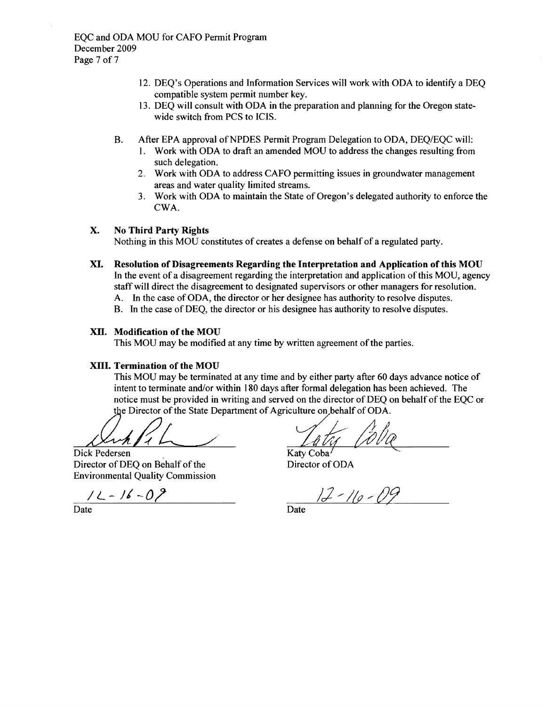- 12. DEQ's Operations and Information Services will work with ODA to identify a DEQ compatible system permit number key.
- 13. DEQ will consult with ODA in the preparation and planning for the Oregon statewide switch from PCS to ICIS.
- B. After EPA approval of NPDES Permit Program Delegation to ODA, DEQ/EQC will:
	- 1. Work with ODA to draft an amended MOU to address the changes resulting from such delegation.
	- 2. Work with ODA to address CAFO permitting issues in groundwater management areas and water quality limited streams.
	- 3. Work with ODA to maintain the State of Oregon's delegated authority to enforce the CWA.

### X. No Third Party Rights

Nothing in this MOV constitutes of creates a defense on behalf of a regulated party.

- XI. Resolution of Disagreements Regarding the Interpretation and Application of this MOU In the event of a disagreement regarding the interpretation and application of this MOU, agency staffwill direct the disagreement to designated supervisors or other managers for resolution.
	- A. In the case of ODA, the director or her designee has authority to resolve disputes.
	- B. In the case ofDEQ, the director or his designee has authority to resolve disputes.

#### XII. Modification of the MOU

This MOU may be modified at any time by written agreement of the parties.

#### XIII. Termination of the MOU

This MOV may be terminated at any time and by either party after 60 days advance notice of intent to terminate and/or within 180 days after formal delegation has been achieved. The notice must be provided in writing and served on the director of DEQ on behalf of the EQC or the Director of the State Department of Agriculture on behalf of ODA.

Dick Pedersen Director of DEQ on Behalf of the **Environmental Quality Commission** 

 $12 - 16 - 09$ 

Tata Coba

Katy Coba Director of ODA

 $12 - 110 - 09$ 

Date Date Date